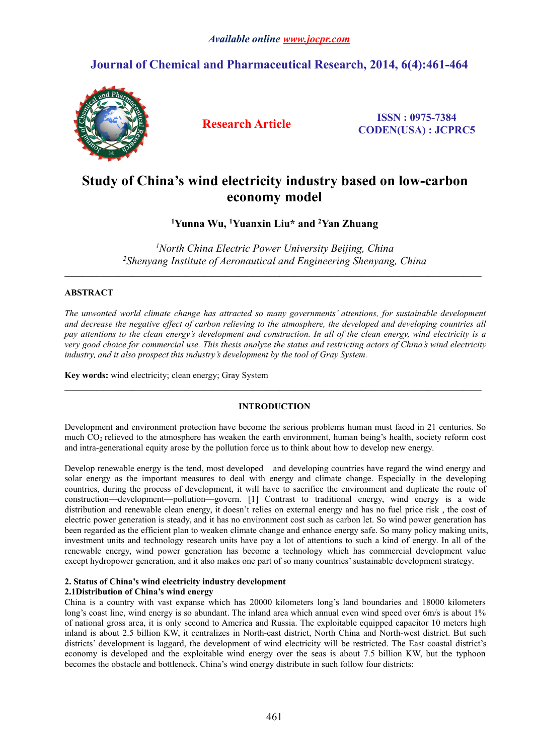# *Available online [www.jocpr.com](http://www.jocpr.com)*

# **Journal of Chemical and Pharmaceutical Research, 2014, 6(4):461-464**



**Research Article ISSN : 0975-7384 CODEN(USA) : JCPRC5**

# **Study of China's wind electricity industry based on low-carbon economy model**

**<sup>1</sup>Yunna Wu, <sup>1</sup>Yuanxin Liu\* and <sup>2</sup>Yan Zhuang**

*<sup>1</sup>North China Electric Power University Beijing, China <sup>2</sup>Shenyang Institute of Aeronautical and Engineering Shenyang, China*

 $\_$  , and the state of the state of the state of the state of the state of the state of the state of the state of the state of the state of the state of the state of the state of the state of the state of the state of the

 $\_$  , and the state of the state of the state of the state of the state of the state of the state of the state of the state of the state of the state of the state of the state of the state of the state of the state of the

## **ABSTRACT**

*The unwonted world climate change has attracted so many governments' attentions, for sustainable development* and decrease the negative effect of carbon relieving to the atmosphere, the developed and developing countries all pay attentions to the clean energy's development and construction. In all of the clean energy, wind electricity is a very good choice for commercial use. This thesis analyze the status and restricting actors of China's wind electricity *industry, and it also prospect this industry's development by the tool of Gray System.*

**Key words:**wind electricity; clean energy; Gray System

## **INTRODUCTION**

Development and environment protection have become the serious problems human must faced in 21 centuries. So much CO<sup>2</sup> relieved to the atmosphere has weaken the earth environment, human being's health, society reform cost and intra-generational equity arose by the pollution force us to think about how to develop new energy.

Develop renewable energy is the tend, most developed and developing countries have regard the wind energy and solar energy as the important measures to deal with energy and climate change. Especially in the developing countries, during the process of development, it will have to sacrifice the environment and duplicate the route of construction—development—pollution—govern. [1] Contrast to traditional energy, wind energy is a wide distribution and renewable clean energy, it doesn't relies on external energy and has no fuel price risk , the cost of electric power generation is steady, and it has no environment cost such as carbon let. So wind power generation has been regarded as the efficient plan to weaken climate change and enhance energy safe. So many policy making units, investment units and technology research units have pay a lot of attentions to such a kind of energy. In all of the renewable energy, wind power generation has become a technology which has commercial development value except hydropower generation, and it also makes one part of so many countries' sustainable development strategy.

## **2. Status ofChina's wind electricity industry development**

### **2.1Distribution of China's wind energy**

China is a country with vast expanse which has 20000 kilometers long's land boundaries and 18000 kilometers long's coast line, wind energy is so abundant. The inland area which annual even wind speed over 6m/s is about 1% of national gross area, it is only second to America and Russia. The exploitable equipped capacitor 10 meters high inland is about 2.5 billion KW, it centralizes in North-east district, North China and North-west district. But such districts' development is laggard, the development of wind electricity will be restricted. The East coastal district's economy is developed and the exploitable wind energy over the seas is about 7.5 billion KW, but the typhoon becomes the obstacle and bottleneck.China's wind energy distribute in such follow four districts: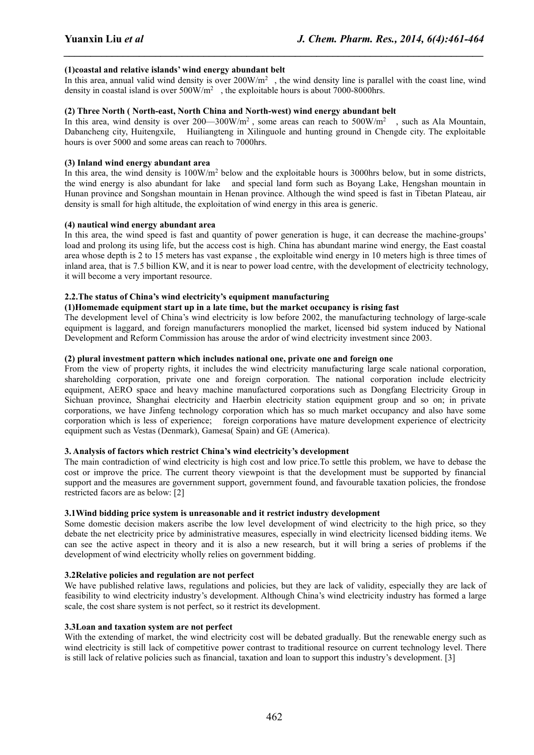### **(1)coastal and relative islands' wind energy abundant belt**

In this area, annual valid wind density is over  $200W/m<sup>2</sup>$ , the wind density line is parallel with the coast line, wind density in coastal island is over  $500W/m^2$ , the exploitable hours is about 7000-8000hrs.

*\_\_\_\_\_\_\_\_\_\_\_\_\_\_\_\_\_\_\_\_\_\_\_\_\_\_\_\_\_\_\_\_\_\_\_\_\_\_\_\_\_\_\_\_\_\_\_\_\_\_\_\_\_\_\_\_\_\_\_\_\_\_\_\_\_\_\_\_\_\_\_\_\_\_\_\_\_\_*

### **(2) Three North ( North-east, North China and North-west) wind energy abundant belt**

In this area, wind density is over  $200 - 300$ W/m<sup>2</sup>, some areas can reach to  $500$ W/m<sup>2</sup>, such as Ala Mountain, Dabancheng city, Huitengxile, Huiliangteng in Xilinguole and hunting ground in Chengde city. The exploitable hours is over 5000 and some areas can reach to 7000hrs.

#### **(3) Inland wind energy abundant area**

In this area, the wind density is 100W/m<sup>2</sup> below and the exploitable hours is 3000hrs below, but in some districts, the wind energy is also abundant for lake and special land form such as Boyang Lake, Hengshan mountain in Hunan province and Songshan mountain in Henan province. Although the wind speed is fast in Tibetan Plateau, air density is small for high altitude, the exploitation of wind energy in this area is generic.

#### **(4) nautical wind energy abundant area**

In this area, the wind speed is fast and quantity of power generation is huge, it can decrease the machine-groups' load and prolong its using life, but the access cost is high. China has abundant marine wind energy, the East coastal area whose depth is 2 to 15 meters has vast expanse , the exploitable wind energy in 10 meters high is three times of inland area, that is 7.5 billion KW, and it is near to power load centre, with the development of electricity technology, it will become a very important resource.

### **2.2.The status ofChina's wind electricity's equipment manufacturing**

#### **(1)Homemade equipment start up in a late time, but the market occupancy is rising fast**

The development level of China's wind electricity is low before 2002, the manufacturing technology of large-scale equipment is laggard, and foreign manufacturers monoplied the market, licensed bid system induced by National Development and Reform Commission has arouse the ardor of wind electricity investment since 2003.

#### **(2) plural investment pattern which includes national one, private one and foreign one**

From the view of property rights, it includes the wind electricity manufacturing large scale national corporation, shareholding corporation, private one and foreign corporation. The national corporation include electricity equipment, AERO space and heavy machine manufactured corporations such as Dongfang Electricity Group in Sichuan province, Shanghai electricity and Haerbin electricity station equipment group and so on; in private corporations, we have Jinfeng technology corporation which has so much market occupancy and also have some corporation which is less of experience; foreign corporations have mature development experience of electricity equipment such as Vestas (Denmark), Gamesa( Spain) and GE (America).

#### **3. Analysis offactors which restrict China's wind electricity's development**

The main contradiction of wind electricity is high cost and low price.To settle this problem, we have to debase the cost or improve the price. The current theory viewpoint is that the development must be supported by financial support and the measures are government support, government found, and favourable taxation policies, the frondose restricted facors are as below: [2]

### **3.1Wind bidding price system is unreasonable and it restrictindustry development**

Some domestic decision makers ascribe the low level development of wind electricity to the high price, so they debate the net electricity price by administrative measures, especially in wind electricity licensed bidding items. We can see the active aspect in theory and it is also a new research, but it will bring a series of problems if the development of wind electricity wholly relies on government bidding.

#### **3.2Relative policies and regulation are not perfect**

We have published relative laws, regulations and policies, but they are lack of validity, especially they are lack of feasibility to wind electricity industry's development. Although China's wind electricity industry has formed a large scale, the cost share system is not perfect, so it restrict its development.

## **3.3Loan and taxation system are not perfect**

With the extending of market, the wind electricity cost will be debated gradually. But the renewable energy such as wind electricity is still lack of competitive power contrast to traditional resource on current technology level. There is still lack of relative policies such as financial, taxation and loan to supportthis industry's development. [3]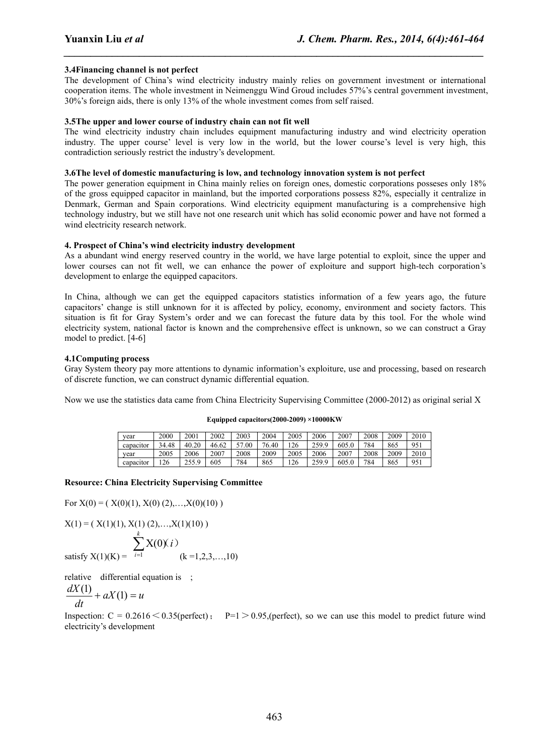### **3.4Financing channel is not perfect**

The development of China's wind electricity industry mainly relies on government investment or international cooperation items. The whole investment in Neimenggu Wind Groud includes 57%'s central government investment, 30%'s foreign aids, there is only 13% of the whole investment comes from self raised.

*\_\_\_\_\_\_\_\_\_\_\_\_\_\_\_\_\_\_\_\_\_\_\_\_\_\_\_\_\_\_\_\_\_\_\_\_\_\_\_\_\_\_\_\_\_\_\_\_\_\_\_\_\_\_\_\_\_\_\_\_\_\_\_\_\_\_\_\_\_\_\_\_\_\_\_\_\_\_*

#### **3.5The upper and lower course of industry chain can not fit well**

The wind electricity industry chain includes equipment manufacturing industry and wind electricity operation industry. The upper course' level is very low in the world, but the lower course's level is very high, this contradiction seriously restrict the industry's development.

#### **3.6The level of domestic manufacturing is low, and technology innovation system is not perfect**

The power generation equipment in China mainly relies on foreign ones, domestic corporations posseses only 18% of the gross equipped capacitor in mainland, but the imported corporations possess 82%, especially it centralize in Denmark, German and Spain corporations. Wind electricity equipment manufacturing is a comprehensive high technology industry, but we still have not one research unit which has solid economic power and have not formed a wind electricity research network.

#### **4. Prospect of China's wind electricity industry development**

As a abundant wind energy reserved country in the world, we have large potential to exploit, since the upper and lower courses can not fit well, we can enhance the power of exploiture and support high-tech corporation's development to enlarge the equipped capacitors.

In China, although we can get the equipped capacitors statistics information of a few years ago, the future capacitors' change is still unknown for it is affected by policy, economy, environment and society factors. This situation is fit for Gray System's order and we can forecast the future data by this tool. For the whole wind electricity system, national factor is known and the comprehensive effect is unknown, so we can construct a Gray model to predict. [4-6]

#### **4.1Computing process**

Gray System theory pay more attentions to dynamic information's exploiture, use and processing, based on research of discrete function, we can construct dynamic differential equation.

Now we use the statistics data came from China Electricity Supervising Committee (2000-2012) as original serial X

| vear      | 2000  | 2001             | 2002  | 2003  | 2004  | 2005 | 2006  | 2007  | 2008 | 2009 | 2010 |
|-----------|-------|------------------|-------|-------|-------|------|-------|-------|------|------|------|
| capacitor | 34.48 | 40.20            | 46.62 | 57.00 | 76.40 | 126  | 259.9 | 605.0 | 784  | 865  | 951  |
| vear      | 2005  | 2006             | 2007  | 2008  | 2009  | 2005 | 2006  | 2007  | 2008 | 2009 | 2010 |
| capacitor | 126   | 255 Q<br>ر . ب ب | 605   | 784   | 865   | 126  | 259.9 | 605.0 | 784  | 865  | 951  |

#### **Equipped capacitors(2000-2009) ×10000KW**

#### **Resource: China Electricity Supervising Committee**

For  $X(0) = ( X(0)(1), X(0) (2), \ldots, X(0)(10) )$ 

$$
X(1) = (X(1)(1), X(1)(2), \ldots, X(1)(10))
$$

satisfy 
$$
X(1)(K) = \sum_{i=1}^{N} X(0)(i)
$$
 (k = 1,2,3,...,10)

relative differential equation is ;

$$
\frac{dX(1)}{dt} + aX(1) = u
$$

Inspection:  $C = 0.2616 \le 0.35$ (perfect); P=1  $> 0.95$ ,(perfect), so we can use this model to predict future wind electricity's development